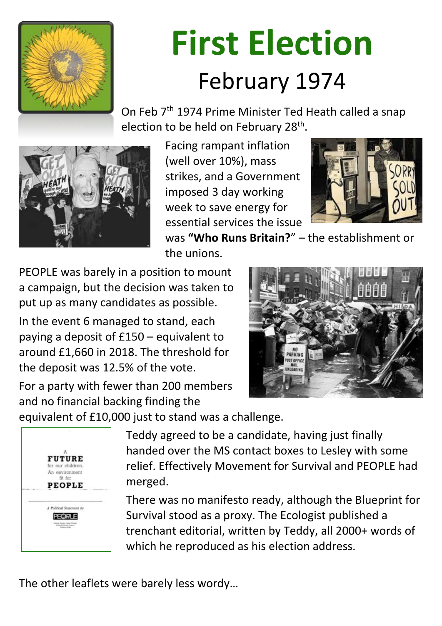

# **First Election** February 1974

On Feb 7<sup>th</sup> 1974 Prime Minister Ted Heath called a snap election to be held on February 28th.



Facing rampant inflation (well over 10%), mass strikes, and a Government imposed 3 day working week to save energy for essential services the issue



was **"Who Runs Britain?**" – the establishment or the unions.

PEOPLE was barely in a position to mount a campaign, but the decision was taken to put up as many candidates as possible.

In the event 6 managed to stand, each paying a deposit of £150 – equivalent to around £1,660 in 2018. The threshold for the deposit was 12.5% of the vote.

For a party with fewer than 200 members and no financial backing finding the

equivalent of £10,000 just to stand was a challenge.



Teddy agreed to be a candidate, having just finally handed over the MS contact boxes to Lesley with some relief. Effectively Movement for Survival and PEOPLE had



### merged.

There was no manifesto ready, although the Blueprint for Survival stood as a proxy. The Ecologist published a trenchant editorial, written by Teddy, all 2000+ words of which he reproduced as his election address.

#### The other leaflets were barely less wordy…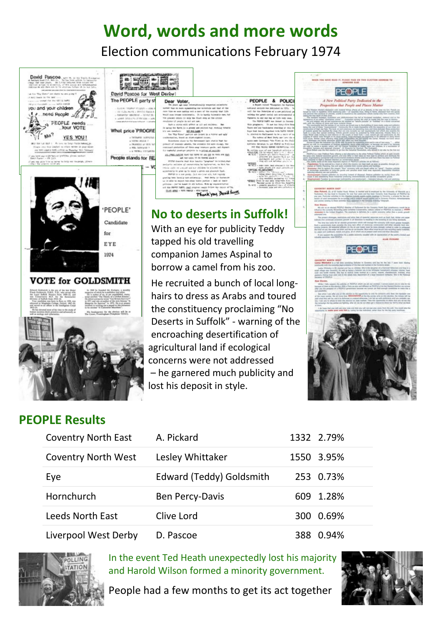## **Word, words and more words** Election communications February 1974



![](_page_1_Picture_2.jpeg)

lost his deposit in style.

![](_page_1_Picture_4.jpeg)

**Political Party Dedicated to** Proposition that People and Places Matter

![](_page_1_Picture_12.jpeg)

![](_page_1_Picture_16.jpeg)

![](_page_1_Picture_17.jpeg)

### **PEOPLE Results**

| <b>Coventry North East</b> | A. Pickard       | 1332 2.79% |
|----------------------------|------------------|------------|
| <b>Coventry North West</b> | Lesley Whittaker | 1550 3.95% |

![](_page_1_Picture_22.jpeg)

| Eye                     | <b>Edward (Teddy) Goldsmith</b> | 253 0.73% |
|-------------------------|---------------------------------|-----------|
| Hornchurch              | <b>Ben Percy-Davis</b>          | 609 1.28% |
| <b>Leeds North East</b> | Clive Lord                      | 300 0.69% |
| Liverpool West Derby    | D. Pascoe                       | 388 0.94% |

![](_page_1_Picture_24.jpeg)

In the event Ted Heath unexpectedly lost his majority and Harold Wilson formed a minority government.

People had a few months to get its act together

![](_page_1_Picture_27.jpeg)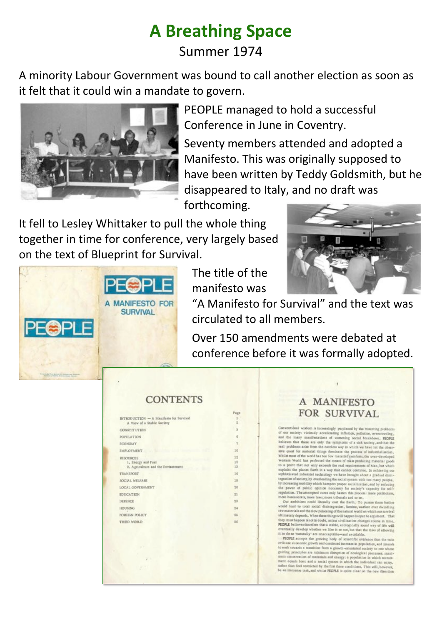# **A Breathing Space** Summer 1974

A minority Labour Government was bound to call another election as soon as it felt that it could win a mandate to govern.

![](_page_2_Picture_2.jpeg)

PEOPLE managed to hold a successful Conference in June in Coventry.

Seventy members attended and adopted a Manifesto. This was originally supposed to have been written by Teddy Goldsmith, but he disappeared to Italy, and no draft was

forthcoming.

It fell to Lesley Whittaker to pull the whole thing together in time for conference, very largely based on the text of Blueprint for Survival.

![](_page_2_Picture_7.jpeg)

![](_page_2_Picture_8.jpeg)

The title of the manifesto was

"A Manifesto for Survival" and the text was circulated to all members.

Over 150 amendments were debated at conference before it was formally adopted.

#### **CONTENTS**

|                                                | ÷              |  |
|------------------------------------------------|----------------|--|
| <b>INTRODUCTION - A Manifesto for Survival</b> | 1              |  |
| A View of a Stable Society                     | $\overline{2}$ |  |
| <b>CONSTITUTION</b>                            | s              |  |
| <b>POPULATION</b>                              | 6              |  |
| <b>ECONOMY</b>                                 | Y.             |  |
| <b>EMPLOYMENT</b>                              | 10             |  |
| <b>RESOURCES</b>                               | 12             |  |
| 1. Energy and Fuel.                            | 12             |  |
| 2. Agriculture and the Environment             | 13             |  |
| <b>TRANSPORT</b>                               | 16             |  |
| SOCIAL WELFARE                                 | 18             |  |
| LOCAL GOVERNMENT                               | 20             |  |
| <b>EDUCATION</b>                               | 21             |  |
| DEFENCE                                        | 23             |  |
| <b>HOUSING</b>                                 | 24             |  |
| FOREIGN POLICY                                 | 25             |  |
| THIRD WORLD                                    | 26             |  |
|                                                |                |  |
|                                                |                |  |
|                                                |                |  |
|                                                |                |  |
|                                                |                |  |
|                                                |                |  |
|                                                |                |  |

![](_page_2_Picture_14.jpeg)

intional wisdom is increasingly perplexed by the mounting problems r society: viciously accelerating inflation, pollution, overcrowding, he many manifestations of womening social becaudown, es that these are only the symptoms of a tick society, and that the roblems arise from the careless way in which we have let the obsessent for material things dominate the process of industrialisation. most of the world has too few material comforts, the over-developed m World has perfected the means of mass producing material goods point that not only exceeds the real requirements of Man, but which its the planet Earth in a way that cannot continue, in achieving o

Eicated indu trial technology we have brought about a gradual disintion of society, by overloading the social system with too many people, reasing mobility which hampers proper socialization, and by reducing sower of public opinion necessary for society's capacity for selfation. The attempted cures only hasten this process: more politicians, bareaucrats, more laws, more tribunals and so on.

a ambitions could literally cost the Earth, To pursue them further lead to total social distriegration, famine, warfare over dwindling aterials and the slow poisoning of the natural world on which our survival ately depends, When these things will happen is open to argument. That must happen is not in doubt, unless civilization changes course in time. LE believes therefore that a stable, ecologically sound way of life will sally develop whether we like it or not, but that the risks of allowing to so 'naturally' are unacceptable-and avoidable.

OPLE accepts the growing body of scientific evidence that the twin re economic growth and continued increase in population, and intends k towards a transition from a growth-orientated society to one whose g principles are minimum disruption of ecological processes; maxiconservation of materials and energy; a population in which recruitment equals loss; and a social system in which the individual can enjoy, rather than feel sestricted by the first three conditions, This will, however, be an immense task, and whilm PEOPLE is quite clear on the new direction